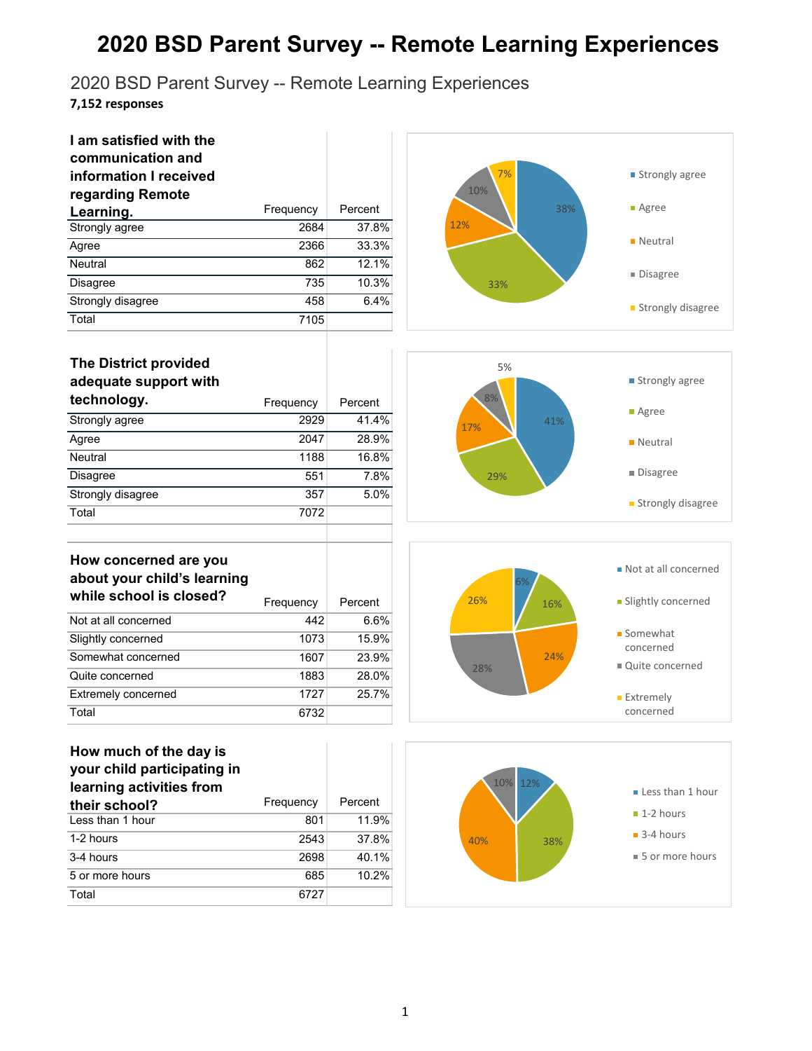2020 BSD Parent Survey -- Remote Learning Experiences

**7,152 responses**

| I am satisfied with the<br>communication and<br>information I received<br>regarding Remote |           |         |
|--------------------------------------------------------------------------------------------|-----------|---------|
| Learning.                                                                                  | Frequency | Percent |
| Strongly agree                                                                             | 2684      | 37.8%   |
| Agree                                                                                      | 2366      | 33.3%   |
| <b>Neutral</b>                                                                             | 862       | 12.1%   |
| <b>Disagree</b>                                                                            | 735       | 10.3%   |
| Strongly disagree                                                                          | 458       | 6.4%    |
| Total                                                                                      | 7105      |         |



| <b>The District provided</b><br>adequate support with |           |         |
|-------------------------------------------------------|-----------|---------|
| technology.                                           | Frequency | Percent |
| Strongly agree                                        | 2929      | 41.4%   |
| Agree                                                 | 2047      | 28.9%   |
| <b>Neutral</b>                                        | 1188      | 16.8%   |
| <b>Disagree</b>                                       | 551       | 7.8%    |
| Strongly disagree                                     | 357       | 5.0%    |
| Total                                                 | 7072      |         |
|                                                       |           |         |



#### **How concerned are you about your child's learning**  while school is closed?

| WILLE SCHOOL IS CLOSED!    | Frequency | Percent |
|----------------------------|-----------|---------|
| Not at all concerned       | 442       | 6.6%    |
| Slightly concerned         | 1073      | 15.9%   |
| Somewhat concerned         | 1607      | 23.9%   |
| Quite concerned            | 1883      | 28.0%   |
| <b>Extremely concerned</b> | 1727      | 25.7%   |
| Total                      | 6732      |         |

#### **How much of the day is your child participating in**

| learning activities from |           |         |
|--------------------------|-----------|---------|
| their school?            | Frequency | Percent |
| Less than 1 hour         | 801       | 11.9%   |
| 1-2 hours                | 2543      | 37.8%   |
| 3-4 hours                | 2698      | 40.1%   |
| 5 or more hours          | 685       | 10.2%   |
| Total                    | 6727      |         |



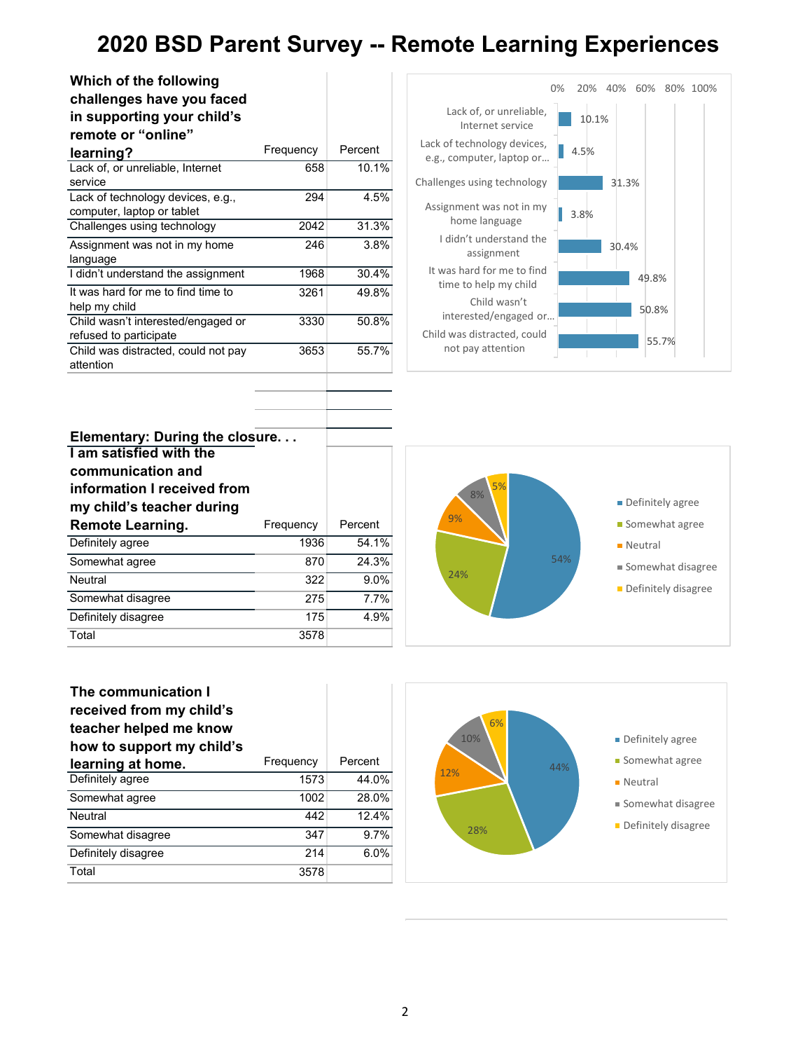| Which of the following<br>challenges have you faced |           |         |
|-----------------------------------------------------|-----------|---------|
| in supporting your child's                          |           |         |
| remote or "online"                                  |           |         |
| learning?                                           | Frequency | Percent |
| Lack of, or unreliable, Internet                    | 658       | 10.1%   |
| service                                             |           |         |
| Lack of technology devices, e.g.,                   | 294       | 4.5%    |
| computer, laptop or tablet                          |           |         |
| Challenges using technology                         | 2042      | 31.3%   |
| Assignment was not in my home                       | 246       | 3.8%    |
| language                                            |           |         |
| I didn't understand the assignment                  | 1968      | 30.4%   |
| It was hard for me to find time to                  | 3261      | 49.8%   |
| help my child                                       |           |         |
| Child wasn't interested/engaged or                  | 3330      | 50.8%   |
| refused to participate                              |           |         |
| Child was distracted, could not pay                 | 3653      | 55.7%   |
| attention                                           |           |         |
|                                                     |           |         |



| Elementary: During the closure<br>I am satisfied with the<br>communication and<br>information I received from<br>my child's teacher during |           |         |
|--------------------------------------------------------------------------------------------------------------------------------------------|-----------|---------|
| <b>Remote Learning.</b>                                                                                                                    | Frequency | Percent |
| Definitely agree                                                                                                                           | 1936      | 54.1%   |
| Somewhat agree                                                                                                                             | 870       | 24.3%   |
| Neutral                                                                                                                                    | 322       | 9.0%    |
| Somewhat disagree                                                                                                                          | 275       | 7.7%    |
| Definitely disagree                                                                                                                        | 175       | 4.9%    |
| Total                                                                                                                                      | 3578      |         |





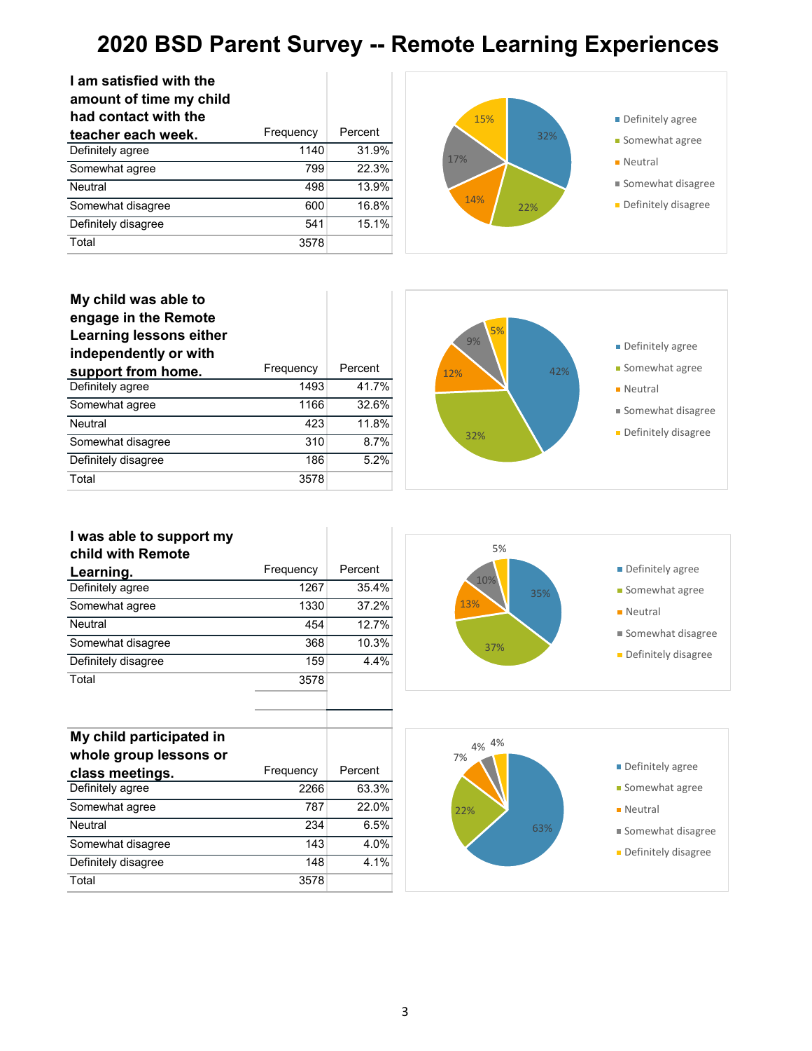| I am satisfied with the<br>amount of time my child<br>had contact with the |           |         |
|----------------------------------------------------------------------------|-----------|---------|
| teacher each week.                                                         | Frequency | Percent |
| Definitely agree                                                           | 1140      | 31.9%   |
| Somewhat agree                                                             | 799       | 22.3%   |
| <b>Neutral</b>                                                             | 498       | 13.9%   |
| Somewhat disagree                                                          | 600       | 16.8%   |
| Definitely disagree                                                        | 541       | 15.1%   |
| Total                                                                      | 3578      |         |



#### **My child was able to engage in the Remote Learning lessons either independently or with support from home.** Frequency Percent<br>Definitely agree 1493 41.7% Definitely agree Somewhat agree 1166 32.6% Neutral 423 11.8% Somewhat disagree 310 8.7% Definitely disagree 186 5.2% Total 3578

Somewhat disagree 143 4.0% Definitely disagree 148 4.1%

Total 3578



#### **I was able to support my child with Remote Learning.** Frequency Percent<br>Definitely agree 1267 35.4% Definitely agree Somewhat agree 1330 37.2% Neutral 454 12.7% Somewhat disagree 368 10.3% Definitely disagree 159 4.4% Total 3578 **My child participated in whole group lessons or class meetings.** Frequency Percent<br>Definitely agree 2266 63.3% Definitely agree Somewhat agree 787 22.0% Neutral 234 6.5% 35% 37% 13% 10% 5% **Definitely agree Somewhat agree Neutral** Somewhat disagree **Definitely disagree** 63% 22% 7% 4% 4% **Definitely agree Somewhat agree Neutral** Somewhat disagree

3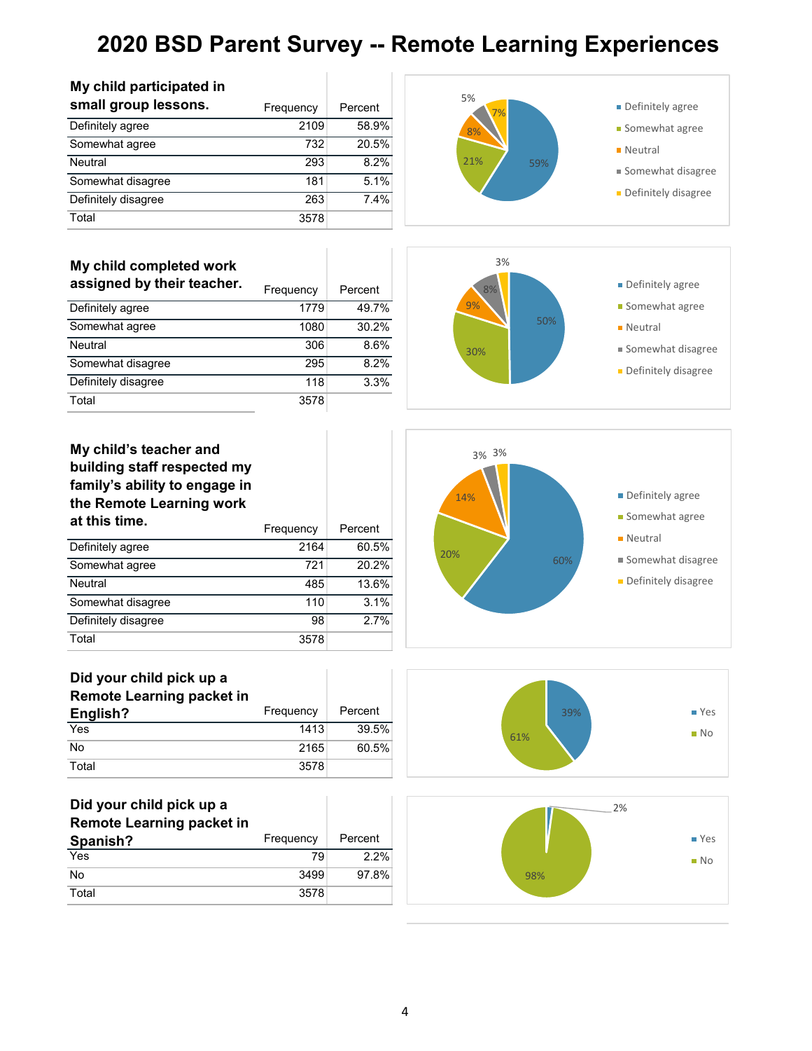| small group lessons.                                                                                               | Frequency | Percent | 70 ل<br>7%   |
|--------------------------------------------------------------------------------------------------------------------|-----------|---------|--------------|
| Definitely agree                                                                                                   | 2109      | 58.9%   | 8%           |
| Somewhat agree                                                                                                     | 732       | 20.5%   |              |
| Neutral                                                                                                            | 293       | 8.2%    | 21%<br>59%   |
| Somewhat disagree                                                                                                  | 181       | 5.1%    |              |
| Definitely disagree                                                                                                | 263       | 7.4%    |              |
| Total                                                                                                              | 3578      |         |              |
| My child completed work<br>assigned by their teacher.                                                              |           |         | 3%           |
|                                                                                                                    | Frequency | Percent | 8%           |
| Definitely agree                                                                                                   | 1779      | 49.7%   | 9%           |
| Somewhat agree                                                                                                     | 1080      | 30.2%   | 50%          |
| Neutral                                                                                                            | 306       | 8.6%    | 30%          |
| Somewhat disagree                                                                                                  | 295       | 8.2%    |              |
| Definitely disagree                                                                                                | 118       | 3.3%    |              |
| Total                                                                                                              | 3578      |         |              |
| My child's teacher and<br>building staff respected my<br>family's ability to engage in<br>the Remote Learning work |           |         | 3% 3%<br>14% |
| at this time.                                                                                                      | Frequency | Percent |              |
| Definitely agree                                                                                                   | 2164      | 60.5%   | 20%          |
| Somewhat agree                                                                                                     | 721       | 20.2%   | 60%          |
| Neutral                                                                                                            | 485       | 13.6%   |              |
| Somewhat disagree                                                                                                  | 110       | 3.1%    |              |
| Definitely disagree                                                                                                | 98        | 2.7%    |              |
|                                                                                                                    |           |         |              |



| small group lessons. | Frequency | Percent |
|----------------------|-----------|---------|
| Definitely agree     | 2109      | 58.9%   |
| Somewhat agree       | 732       | 20.5%   |
| Neutral              | 293       | 8.2%    |
| Somewhat disagree    | 181       | 5.1%    |
| Definitely disagree  | 263       | 7.4%    |
| Total                | 3578      |         |







#### **My child's teacher and building staff respected my family's ability to engage in the Remote Learning work**

|                     |      | יו שטוע ו |
|---------------------|------|-----------|
| Definitely agree    | 2164 | 60.5%     |
| Somewhat agree      | 721  | 20.2%     |
| Neutral             | 485  | 13.6%     |
| Somewhat disagree   | 110  | 3.1%      |
| Definitely disagree | 98   | 27%       |
| Total               | 3578 |           |



| - -<br>English? | Frequency | Percent |
|-----------------|-----------|---------|
| Yes             | 1413      | 39.5%   |
| No              | 2165      | 60.5%   |
| Total           | 3578      |         |

| Did your child pick up a         |           |         |
|----------------------------------|-----------|---------|
| <b>Remote Learning packet in</b> |           |         |
| Spanish?                         | Frequency | Percent |
| Yes                              | 79        | 2.2%    |
| No                               | 3499      | 97.8%   |
| Total                            | 3578      |         |



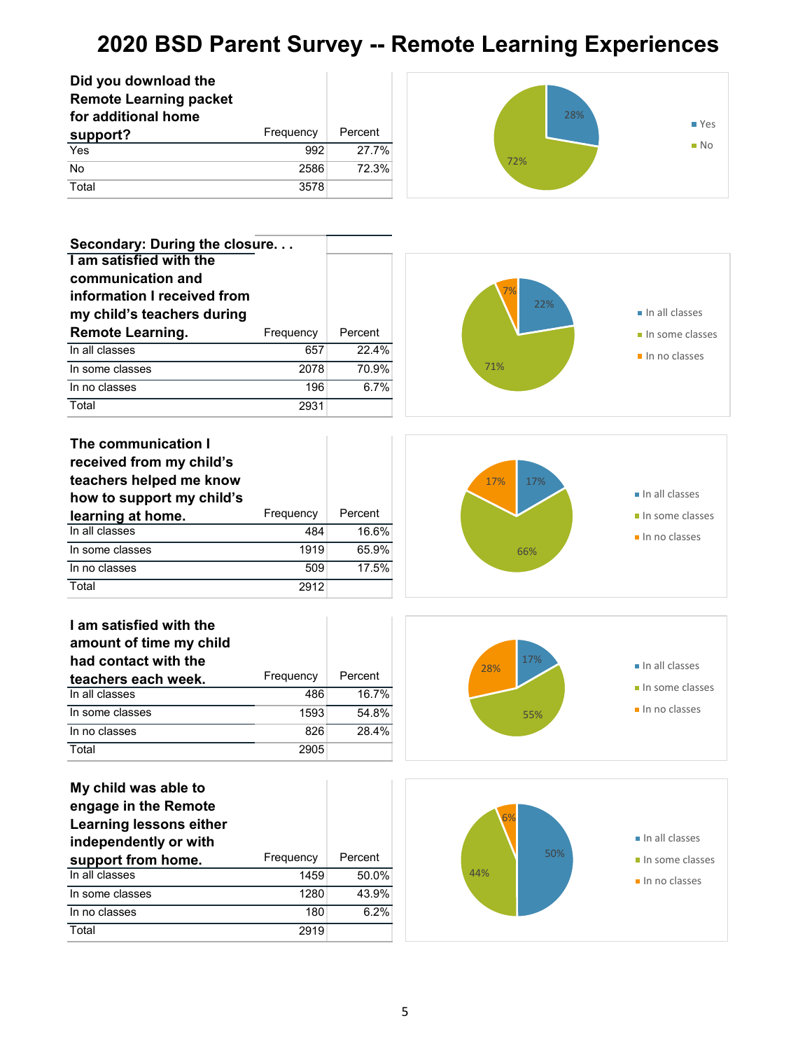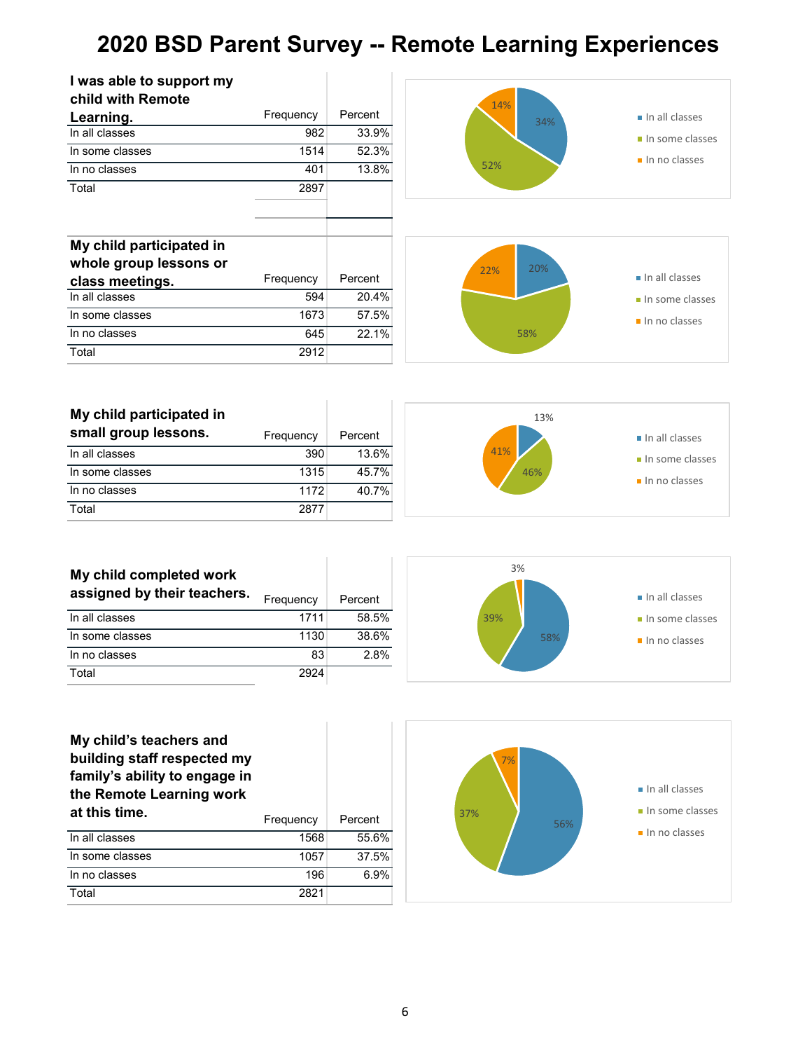| I was able to support my<br>child with Remote<br>Learning.<br>In all classes<br>In some classes<br>In no classes<br>Total | Frequency<br>982<br>1514<br>401<br>2897 | Percent<br>33.9%<br>52.3%<br>13.8% |
|---------------------------------------------------------------------------------------------------------------------------|-----------------------------------------|------------------------------------|
| My child participated in<br>whole group lessons or                                                                        |                                         |                                    |
| class meetings.                                                                                                           | Frequency                               | Percent                            |
| In all classes                                                                                                            | 594                                     | 20.4%                              |
|                                                                                                                           |                                         |                                    |
| In some classes                                                                                                           | 1673                                    | 57.5%                              |
| In no classes                                                                                                             | 645                                     | 22.1%                              |

| My child participated in |           |         |
|--------------------------|-----------|---------|
| small group lessons.     | Frequency | Percent |
| In all classes           | 390       | 13.6%   |
| In some classes          | 1315      | 45.7%   |
| In no classes            | 1172      | 40.7%   |
| Total                    | 2877      |         |

T



| My child completed work<br>assigned by their teachers. | Frequency | Percent |
|--------------------------------------------------------|-----------|---------|
| In all classes                                         | 1711      | 58.5%   |
| In some classes                                        | 1130      | 38.6%   |
| In no classes                                          | 83        | 2.8%    |
| Total                                                  | 2924      |         |



## 56% 37% 7% In all classes In some classes In no classes

| My child's teachers and       |           |                |
|-------------------------------|-----------|----------------|
| building staff respected my   |           |                |
| family's ability to engage in |           |                |
| the Remote Learning work      |           |                |
| at this time.                 | Frequency | Percent        |
| In all classes                | 1568      | $55.6^{\circ}$ |

| In all classes  | 1568 | 55.6% |
|-----------------|------|-------|
| In some classes | 1057 | 37.5% |
| In no classes   | 196  | 6.9%  |
| Total           | 2821 |       |